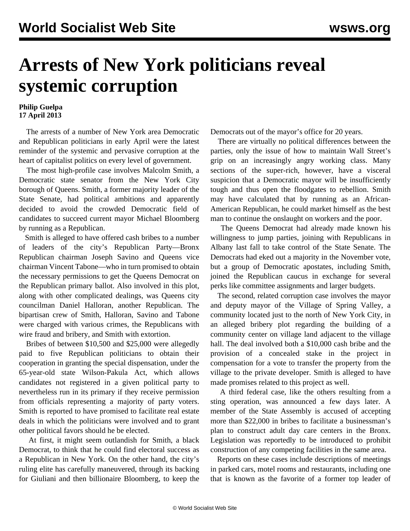## **Arrests of New York politicians reveal systemic corruption**

## **Philip Guelpa 17 April 2013**

 The arrests of a number of New York area Democratic and Republican politicians in early April were the latest reminder of the systemic and pervasive corruption at the heart of capitalist politics on every level of government.

 The most high-profile case involves Malcolm Smith, a Democratic state senator from the New York City borough of Queens. Smith, a former majority leader of the State Senate, had political ambitions and apparently decided to avoid the crowded Democratic field of candidates to succeed current mayor Michael Bloomberg by running as a Republican.

 Smith is alleged to have offered cash bribes to a number of leaders of the city's Republican Party—Bronx Republican chairman Joseph Savino and Queens vice chairman Vincent Tabone—who in turn promised to obtain the necessary permissions to get the Queens Democrat on the Republican primary ballot. Also involved in this plot, along with other complicated dealings, was Queens city councilman Daniel Halloran, another Republican. The bipartisan crew of Smith, Halloran, Savino and Tabone were charged with various crimes, the Republicans with wire fraud and bribery, and Smith with extortion.

 Bribes of between \$10,500 and \$25,000 were allegedly paid to five Republican politicians to obtain their cooperation in granting the special dispensation, under the 65-year-old state Wilson-Pakula Act, which allows candidates not registered in a given political party to nevertheless run in its primary if they receive permission from officials representing a majority of party voters. Smith is reported to have promised to facilitate real estate deals in which the politicians were involved and to grant other political favors should he be elected.

 At first, it might seem outlandish for Smith, a black Democrat, to think that he could find electoral success as a Republican in New York. On the other hand, the city's ruling elite has carefully maneuvered, through its backing for Giuliani and then billionaire Bloomberg, to keep the

Democrats out of the mayor's office for 20 years.

 There are virtually no political differences between the parties, only the issue of how to maintain Wall Street's grip on an increasingly angry working class. Many sections of the super-rich, however, have a visceral suspicion that a Democratic mayor will be insufficiently tough and thus open the floodgates to rebellion. Smith may have calculated that by running as an African-American Republican, he could market himself as the best man to continue the onslaught on workers and the poor.

 The Queens Democrat had already made known his willingness to jump parties, joining with Republicans in Albany last fall to take control of the State Senate. The Democrats had eked out a majority in the November vote, but a group of Democratic apostates, including Smith, joined the Republican caucus in exchange for several perks like committee assignments and larger budgets.

 The second, related corruption case involves the mayor and deputy mayor of the Village of Spring Valley, a community located just to the north of New York City, in an alleged bribery plot regarding the building of a community center on village land adjacent to the village hall. The deal involved both a \$10,000 cash bribe and the provision of a concealed stake in the project in compensation for a vote to transfer the property from the village to the private developer. Smith is alleged to have made promises related to this project as well.

 A third federal case, like the others resulting from a sting operation, was announced a few days later. A member of the State Assembly is accused of accepting more than \$22,000 in bribes to facilitate a businessman's plan to construct adult day care centers in the Bronx. Legislation was reportedly to be introduced to prohibit construction of any competing facilities in the same area.

 Reports on these cases include descriptions of meetings in parked cars, motel rooms and restaurants, including one that is known as the favorite of a former top leader of